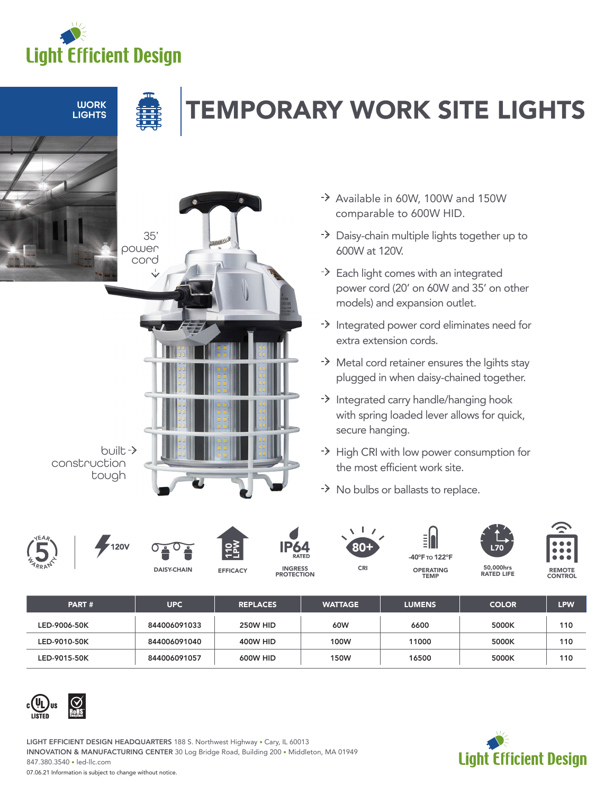

**LIGHTS** 

**TIGHTS SOUTHEREARY WORK SITE LIGHTS** 



- -> Available in 60W, 100W and 150W comparable to 600W HID.
- > Daisy-chain multiple lights together up to 600W at 120V.
- -> Each light comes with an integrated power cord (20' on 60W and 35' on other models) and expansion outlet.
- $\rightarrow$  Integrated power cord eliminates need for extra extension cords.
- > Metal cord retainer ensures the lgihts stay plugged in when daisy-chained together.
- $\rightarrow$  Integrated carry handle/hanging hook with spring loaded lever allows for quick, secure hanging.
- +> High CRI with low power consumption for the most efficient work site.

TEMP

-> No bulbs or ballasts to replace.









**EFFICACY** 





CRI







50,000hrs RATED LIFE REMOTE CONTROL

| PART#        | <b>UPC</b>   | <b>REPLACES</b> | <b>WATTAGE</b> | <b>LUMENS</b> | <b>COLOR</b> | <b>LPW</b> |
|--------------|--------------|-----------------|----------------|---------------|--------------|------------|
| LED-9006-50K | 844006091033 | <b>250W HID</b> | 60W            | 6600          | 5000K        | 110        |
| LED-9010-50K | 844006091040 | <b>400W HID</b> | 100W           | 11000         | 5000K        | 110        |
| LED-9015-50K | 844006091057 | 600W HID        | <b>150W</b>    | 16500         | 5000K        | 110        |



LIGHT EFFICIENT DESIGN HEADQUARTERS 188 S. Northwest Highway • Cary, IL 60013 INNOVATION & MANUFACTURING CENTER 30 Log Bridge Road, Building 200 • Middleton, MA 01949 847.380.3540 • led-llc.com



07.06.21 Information is subject to change without notice.